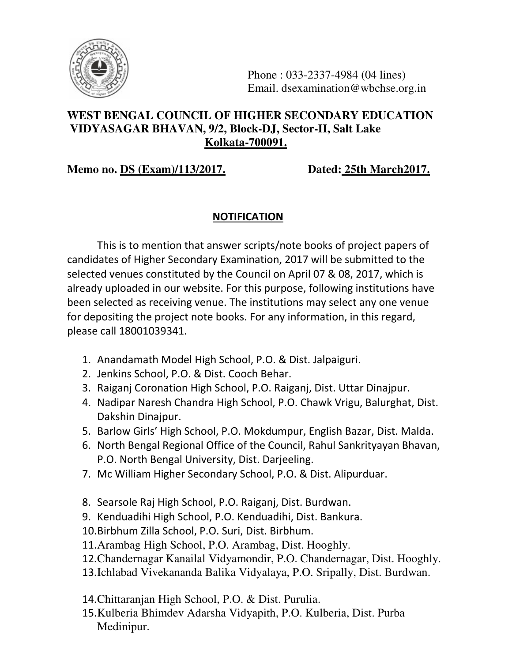

Phone : 033-2337-4984 (04 lines) Email. dsexamination@wbchse.org.in

# **WEST BENGAL COUNCIL OF HIGHER SECONDARY EDUCATION VIDYASAGAR BHAVAN, 9/2, Block-DJ, Sector-II, Salt Lake Kolkata-700091.**

# **Memo no. DS (Exam)/113/2017. Dated: 25th March2017.**

### **NOTIFICATION**

 This is to mention that answer scripts/note books of project papers of candidates of Higher Secondary Examination, 2017 will be submitted to the selected venues constituted by the Council on April 07 & 08, 2017, which is already uploaded in our website. For this purpose, following institutions have been selected as receiving venue. The institutions may select any one venue for depositing the project note books. For any information, in this regard, please call 18001039341.

- 1. Anandamath Model High School, P.O. & Dist. Jalpaiguri.
- 2. Jenkins School, P.O. & Dist. Cooch Behar.
- 3. Raiganj Coronation High School, P.O. Raiganj, Dist. Uttar Dinajpur.
- 4. Nadipar Naresh Chandra High School, P.O. Chawk Vrigu, Balurghat, Dist. Dakshin Dinajpur.
- 5. Barlow Girls' High School, P.O. Mokdumpur, English Bazar, Dist. Malda.
- 6. North Bengal Regional Office of the Council, Rahul Sankrityayan Bhavan, P.O. North Bengal University, Dist. Darjeeling.
- 7. Mc William Higher Secondary School, P.O. & Dist. Alipurduar.
- 8. Searsole Raj High School, P.O. Raiganj, Dist. Burdwan.
- 9. Kenduadihi High School, P.O. Kenduadihi, Dist. Bankura.
- 10.Birbhum Zilla School, P.O. Suri, Dist. Birbhum.
- 11.Arambag High School, P.O. Arambag, Dist. Hooghly.
- 12.Chandernagar Kanailal Vidyamondir, P.O. Chandernagar, Dist. Hooghly.
- 13.Ichlabad Vivekananda Balika Vidyalaya, P.O. Sripally, Dist. Burdwan.
- 14.Chittaranjan High School, P.O. & Dist. Purulia.
- 15.Kulberia Bhimdev Adarsha Vidyapith, P.O. Kulberia, Dist. Purba Medinipur.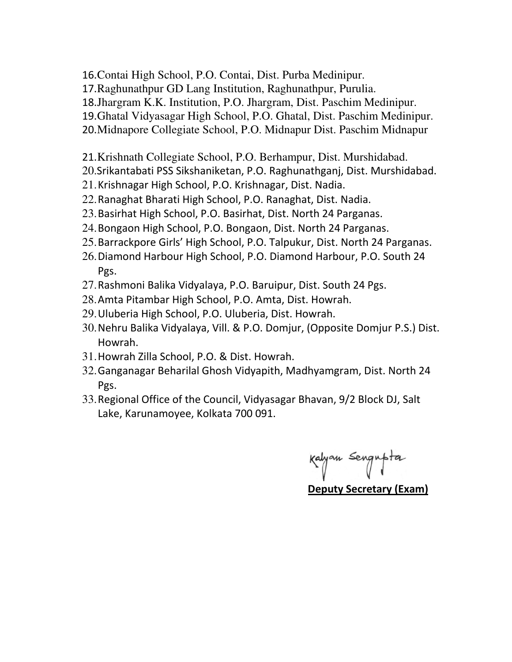- 16.Contai High School, P.O. Contai, Dist. Purba Medinipur.
- 17.Raghunathpur GD Lang Institution, Raghunathpur, Purulia.
- 18.Jhargram K.K. Institution, P.O. Jhargram, Dist. Paschim Medinipur.
- 19.Ghatal Vidyasagar High School, P.O. Ghatal, Dist. Paschim Medinipur.
- 20.Midnapore Collegiate School, P.O. Midnapur Dist. Paschim Midnapur
- 21.Krishnath Collegiate School, P.O. Berhampur, Dist. Murshidabad.
- 20.Srikantabati PSS Sikshaniketan, P.O. Raghunathganj, Dist. Murshidabad.
- 21.Krishnagar High School, P.O. Krishnagar, Dist. Nadia.
- 22.Ranaghat Bharati High School, P.O. Ranaghat, Dist. Nadia.
- 23.Basirhat High School, P.O. Basirhat, Dist. North 24 Parganas.
- 24.Bongaon High School, P.O. Bongaon, Dist. North 24 Parganas.
- 25.Barrackpore Girls' High School, P.O. Talpukur, Dist. North 24 Parganas.
- 26.Diamond Harbour High School, P.O. Diamond Harbour, P.O. South 24 Pgs.
- 27.Rashmoni Balika Vidyalaya, P.O. Baruipur, Dist. South 24 Pgs.
- 28.Amta Pitambar High School, P.O. Amta, Dist. Howrah.
- 29.Uluberia High School, P.O. Uluberia, Dist. Howrah.
- 30.Nehru Balika Vidyalaya, Vill. & P.O. Domjur, (Opposite Domjur P.S.) Dist. Howrah.
- 31.Howrah Zilla School, P.O. & Dist. Howrah.
- 32.Ganganagar Beharilal Ghosh Vidyapith, Madhyamgram, Dist. North 24 Pgs.
- 33.Regional Office of the Council, Vidyasagar Bhavan, 9/2 Block DJ, Salt Lake, Karunamoyee, Kolkata 700 091.

Kalyan Sengupta

Deputy Secretary (Exam)